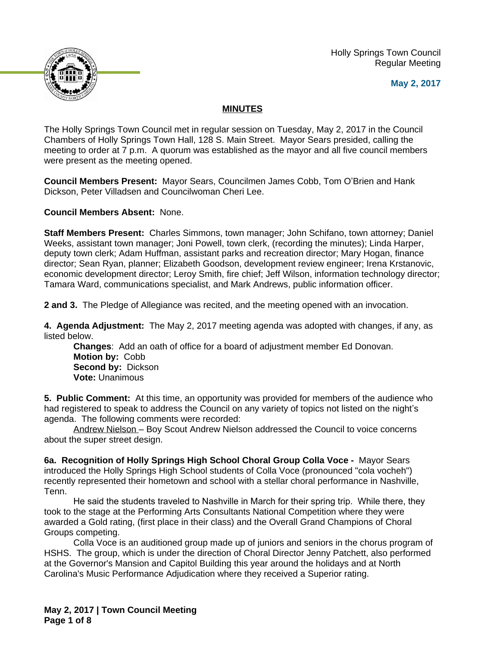Holly Springs Town Council Regular Meeting





# **MINUTES**

The Holly Springs Town Council met in regular session on Tuesday, May 2, 2017 in the Council Chambers of Holly Springs Town Hall, 128 S. Main Street. Mayor Sears presided, calling the meeting to order at 7 p.m. A quorum was established as the mayor and all five council members were present as the meeting opened.

**Council Members Present:** Mayor Sears, Councilmen James Cobb, Tom O'Brien and Hank Dickson, Peter Villadsen and Councilwoman Cheri Lee.

**Council Members Absent:** None.

**Staff Members Present:** Charles Simmons, town manager; John Schifano, town attorney; Daniel Weeks, assistant town manager; Joni Powell, town clerk, (recording the minutes); Linda Harper, deputy town clerk; Adam Huffman, assistant parks and recreation director; Mary Hogan, finance director; Sean Ryan, planner; Elizabeth Goodson, development review engineer; Irena Krstanovic, economic development director; Leroy Smith, fire chief; Jeff Wilson, information technology director; Tamara Ward, communications specialist, and Mark Andrews, public information officer.

**2 and 3.** The Pledge of Allegiance was recited, and the meeting opened with an invocation.

**4. Agenda Adjustment:** The May 2, 2017 meeting agenda was adopted with changes, if any, as listed below.

**Changes**: Add an oath of office for a board of adjustment member Ed Donovan. **Motion by:** Cobb **Second by:** Dickson **Vote:** Unanimous

**5. Public Comment:** At this time, an opportunity was provided for members of the audience who had registered to speak to address the Council on any variety of topics not listed on the night's agenda. The following comments were recorded:

Andrew Nielson – Boy Scout Andrew Nielson addressed the Council to voice concerns about the super street design.

**6a. Recognition of Holly Springs High School Choral Group Colla Voce -** Mayor Sears introduced the Holly Springs High School students of Colla Voce (pronounced "cola vocheh") recently represented their hometown and school with a stellar choral performance in Nashville, Tenn.

He said the students traveled to Nashville in March for their spring trip. While there, they took to the stage at the Performing Arts Consultants National Competition where they were awarded a Gold rating, (first place in their class) and the Overall Grand Champions of Choral Groups competing.

Colla Voce is an auditioned group made up of juniors and seniors in the chorus program of HSHS. The group, which is under the direction of Choral Director Jenny Patchett, also performed at the Governor's Mansion and Capitol Building this year around the holidays and at North Carolina's Music Performance Adjudication where they received a Superior rating.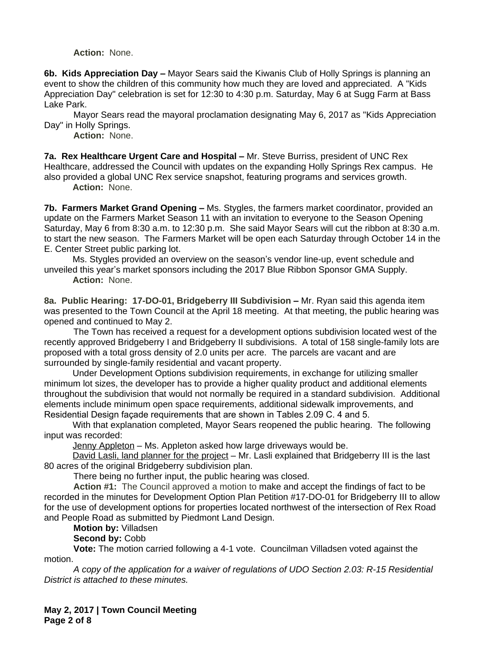**Action:** None.

**6b. Kids Appreciation Day –** Mayor Sears said the Kiwanis Club of Holly Springs is planning an event to show the children of this community how much they are loved and appreciated. A "Kids Appreciation Day" celebration is set for 12:30 to 4:30 p.m. Saturday, May 6 at Sugg Farm at Bass Lake Park.

Mayor Sears read the mayoral proclamation designating May 6, 2017 as "Kids Appreciation Day" in Holly Springs.

**Action:** None.

**7a. Rex Healthcare Urgent Care and Hospital – Mr. Steve Burriss, president of UNC Rex** Healthcare, addressed the Council with updates on the expanding Holly Springs Rex campus. He also provided a global UNC Rex service snapshot, featuring programs and services growth. **Action:** None.

**7b. Farmers Market Grand Opening –** Ms. Stygles, the farmers market coordinator, provided an update on the Farmers Market Season 11 with an invitation to everyone to the Season Opening Saturday, May 6 from 8:30 a.m. to 12:30 p.m. She said Mayor Sears will cut the ribbon at 8:30 a.m. to start the new season. The Farmers Market will be open each Saturday through October 14 in the E. Center Street public parking lot.

Ms. Stygles provided an overview on the season's vendor line-up, event schedule and unveiled this year's market sponsors including the 2017 Blue Ribbon Sponsor GMA Supply. **Action:** None.

**8a. Public Hearing: 17-DO-01, Bridgeberry III Subdivision –** Mr. Ryan said this agenda item was presented to the Town Council at the April 18 meeting. At that meeting, the public hearing was opened and continued to May 2.

The Town has received a request for a development options subdivision located west of the recently approved Bridgeberry I and Bridgeberry II subdivisions. A total of 158 single-family lots are proposed with a total gross density of 2.0 units per acre. The parcels are vacant and are surrounded by single-family residential and vacant property.

Under Development Options subdivision requirements, in exchange for utilizing smaller minimum lot sizes, the developer has to provide a higher quality product and additional elements throughout the subdivision that would not normally be required in a standard subdivision. Additional elements include minimum open space requirements, additional sidewalk improvements, and Residential Design façade requirements that are shown in Tables 2.09 C. 4 and 5.

With that explanation completed, Mayor Sears reopened the public hearing. The following input was recorded:

Jenny Appleton – Ms. Appleton asked how large driveways would be.

David Lasli, land planner for the project – Mr. Lasli explained that Bridgeberry III is the last 80 acres of the original Bridgeberry subdivision plan.

There being no further input, the public hearing was closed.

**Action #1:** The Council approved a motion to make and accept the findings of fact to be recorded in the minutes for Development Option Plan Petition #17-DO-01 for Bridgeberry III to allow for the use of development options for properties located northwest of the intersection of Rex Road and People Road as submitted by Piedmont Land Design.

**Motion by:** Villadsen

**Second by:** Cobb

**Vote:** The motion carried following a 4-1 vote. Councilman Villadsen voted against the motion.

*A copy of the application for a waiver of regulations of UDO Section 2.03: R-15 Residential District is attached to these minutes.*

**May 2, 2017 | Town Council Meeting Page 2 of 8**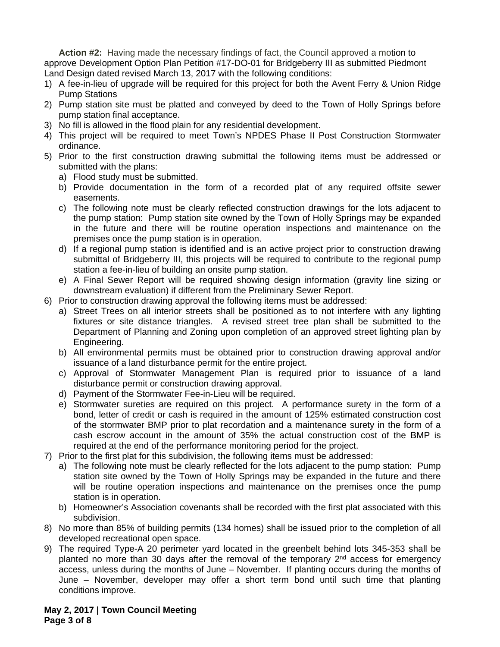**Action #2:** Having made the necessary findings of fact, the Council approved a motion to approve Development Option Plan Petition #17-DO-01 for Bridgeberry III as submitted Piedmont Land Design dated revised March 13, 2017 with the following conditions:

- 1) A fee-in-lieu of upgrade will be required for this project for both the Avent Ferry & Union Ridge Pump Stations
- 2) Pump station site must be platted and conveyed by deed to the Town of Holly Springs before pump station final acceptance.
- 3) No fill is allowed in the flood plain for any residential development.
- 4) This project will be required to meet Town's NPDES Phase II Post Construction Stormwater ordinance.
- 5) Prior to the first construction drawing submittal the following items must be addressed or submitted with the plans:
	- a) Flood study must be submitted.
	- b) Provide documentation in the form of a recorded plat of any required offsite sewer easements.
	- c) The following note must be clearly reflected construction drawings for the lots adjacent to the pump station: Pump station site owned by the Town of Holly Springs may be expanded in the future and there will be routine operation inspections and maintenance on the premises once the pump station is in operation.
	- d) If a regional pump station is identified and is an active project prior to construction drawing submittal of Bridgeberry III, this projects will be required to contribute to the regional pump station a fee-in-lieu of building an onsite pump station.
	- e) A Final Sewer Report will be required showing design information (gravity line sizing or downstream evaluation) if different from the Preliminary Sewer Report.
- 6) Prior to construction drawing approval the following items must be addressed:
	- a) Street Trees on all interior streets shall be positioned as to not interfere with any lighting fixtures or site distance triangles. A revised street tree plan shall be submitted to the Department of Planning and Zoning upon completion of an approved street lighting plan by Engineering.
	- b) All environmental permits must be obtained prior to construction drawing approval and/or issuance of a land disturbance permit for the entire project.
	- c) Approval of Stormwater Management Plan is required prior to issuance of a land disturbance permit or construction drawing approval.
	- d) Payment of the Stormwater Fee-in-Lieu will be required.
	- e) Stormwater sureties are required on this project. A performance surety in the form of a bond, letter of credit or cash is required in the amount of 125% estimated construction cost of the stormwater BMP prior to plat recordation and a maintenance surety in the form of a cash escrow account in the amount of 35% the actual construction cost of the BMP is required at the end of the performance monitoring period for the project.
- 7) Prior to the first plat for this subdivision, the following items must be addressed:
	- a) The following note must be clearly reflected for the lots adjacent to the pump station: Pump station site owned by the Town of Holly Springs may be expanded in the future and there will be routine operation inspections and maintenance on the premises once the pump station is in operation.
	- b) Homeowner's Association covenants shall be recorded with the first plat associated with this subdivision.
- 8) No more than 85% of building permits (134 homes) shall be issued prior to the completion of all developed recreational open space.
- 9) The required Type-A 20 perimeter yard located in the greenbelt behind lots 345-353 shall be planted no more than 30 days after the removal of the temporary 2<sup>nd</sup> access for emergency access, unless during the months of June – November. If planting occurs during the months of June – November, developer may offer a short term bond until such time that planting conditions improve.

**May 2, 2017 | Town Council Meeting Page 3 of 8**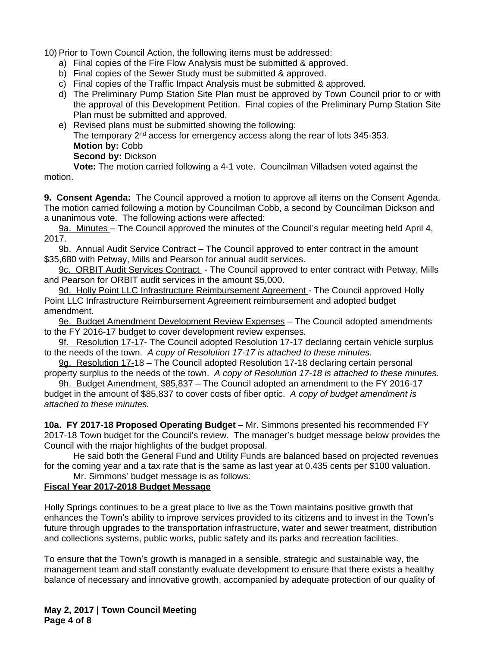10) Prior to Town Council Action, the following items must be addressed:

- a) Final copies of the Fire Flow Analysis must be submitted & approved.
- b) Final copies of the Sewer Study must be submitted & approved.
- c) Final copies of the Traffic Impact Analysis must be submitted & approved.
- d) The Preliminary Pump Station Site Plan must be approved by Town Council prior to or with the approval of this Development Petition. Final copies of the Preliminary Pump Station Site Plan must be submitted and approved.
- e) Revised plans must be submitted showing the following: The temporary 2<sup>nd</sup> access for emergency access along the rear of lots 345-353. **Motion by:** Cobb **Second by: Dickson**

**Vote:** The motion carried following a 4-1 vote. Councilman Villadsen voted against the motion.

**9. Consent Agenda:** The Council approved a motion to approve all items on the Consent Agenda. The motion carried following a motion by Councilman Cobb, a second by Councilman Dickson and a unanimous vote. The following actions were affected:

9a. Minutes – The Council approved the minutes of the Council's regular meeting held April 4, 2017.

9b. Annual Audit Service Contract – The Council approved to enter contract in the amount \$35,680 with Petway, Mills and Pearson for annual audit services.

9c. ORBIT Audit Services Contract - The Council approved to enter contract with Petway, Mills and Pearson for ORBIT audit services in the amount \$5,000.

9d. Holly Point LLC Infrastructure Reimbursement Agreement - The Council approved Holly Point LLC Infrastructure Reimbursement Agreement reimbursement and adopted budget amendment.

9e. Budget Amendment Development Review Expenses – The Council adopted amendments to the FY 2016-17 budget to cover development review expenses.

9f. Resolution 17-17- The Council adopted Resolution 17-17 declaring certain vehicle surplus to the needs of the town. *A copy of Resolution 17-17 is attached to these minutes.*

9g. Resolution 17-18 – The Council adopted Resolution 17-18 declaring certain personal property surplus to the needs of the town. *A copy of Resolution 17-18 is attached to these minutes.*

9h. Budget Amendment, \$85,837 - The Council adopted an amendment to the FY 2016-17 budget in the amount of \$85,837 to cover costs of fiber optic. *A copy of budget amendment is attached to these minutes.*

**10a. FY 2017-18 Proposed Operating Budget –** Mr. Simmons presented his recommended FY 2017-18 Town budget for the Council's review. The manager's budget message below provides the Council with the major highlights of the budget proposal.

He said both the General Fund and Utility Funds are balanced based on projected revenues for the coming year and a tax rate that is the same as last year at 0.435 cents per \$100 valuation.

Mr. Simmons' budget message is as follows:

## **Fiscal Year 2017-2018 Budget Message**

Holly Springs continues to be a great place to live as the Town maintains positive growth that enhances the Town's ability to improve services provided to its citizens and to invest in the Town's future through upgrades to the transportation infrastructure, water and sewer treatment, distribution and collections systems, public works, public safety and its parks and recreation facilities.

To ensure that the Town's growth is managed in a sensible, strategic and sustainable way, the management team and staff constantly evaluate development to ensure that there exists a healthy balance of necessary and innovative growth, accompanied by adequate protection of our quality of

**May 2, 2017 | Town Council Meeting Page 4 of 8**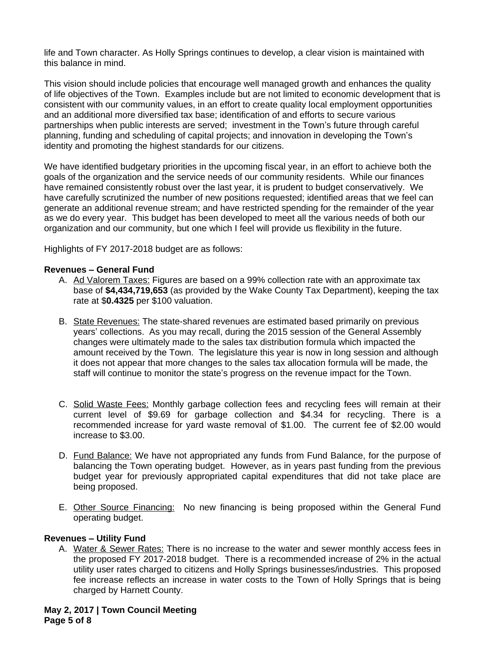life and Town character. As Holly Springs continues to develop, a clear vision is maintained with this balance in mind.

This vision should include policies that encourage well managed growth and enhances the quality of life objectives of the Town. Examples include but are not limited to economic development that is consistent with our community values, in an effort to create quality local employment opportunities and an additional more diversified tax base; identification of and efforts to secure various partnerships when public interests are served; investment in the Town's future through careful planning, funding and scheduling of capital projects; and innovation in developing the Town's identity and promoting the highest standards for our citizens.

We have identified budgetary priorities in the upcoming fiscal year, in an effort to achieve both the goals of the organization and the service needs of our community residents. While our finances have remained consistently robust over the last year, it is prudent to budget conservatively. We have carefully scrutinized the number of new positions requested; identified areas that we feel can generate an additional revenue stream; and have restricted spending for the remainder of the year as we do every year. This budget has been developed to meet all the various needs of both our organization and our community, but one which I feel will provide us flexibility in the future.

Highlights of FY 2017-2018 budget are as follows:

#### **Revenues – General Fund**

- A. Ad Valorem Taxes: Figures are based on a 99% collection rate with an approximate tax base of **\$4,434,719,653** (as provided by the Wake County Tax Department), keeping the tax rate at \$**0.4325** per \$100 valuation.
- B. State Revenues: The state-shared revenues are estimated based primarily on previous years' collections. As you may recall, during the 2015 session of the General Assembly changes were ultimately made to the sales tax distribution formula which impacted the amount received by the Town. The legislature this year is now in long session and although it does not appear that more changes to the sales tax allocation formula will be made, the staff will continue to monitor the state's progress on the revenue impact for the Town.
- C. Solid Waste Fees: Monthly garbage collection fees and recycling fees will remain at their current level of \$9.69 for garbage collection and \$4.34 for recycling. There is a recommended increase for yard waste removal of \$1.00. The current fee of \$2.00 would increase to \$3.00.
- D. Fund Balance: We have not appropriated any funds from Fund Balance, for the purpose of balancing the Town operating budget. However, as in years past funding from the previous budget year for previously appropriated capital expenditures that did not take place are being proposed.
- E. Other Source Financing: No new financing is being proposed within the General Fund operating budget.

#### **Revenues – Utility Fund**

A. Water & Sewer Rates: There is no increase to the water and sewer monthly access fees in the proposed FY 2017-2018 budget. There is a recommended increase of 2% in the actual utility user rates charged to citizens and Holly Springs businesses/industries. This proposed fee increase reflects an increase in water costs to the Town of Holly Springs that is being charged by Harnett County.

**May 2, 2017 | Town Council Meeting Page 5 of 8**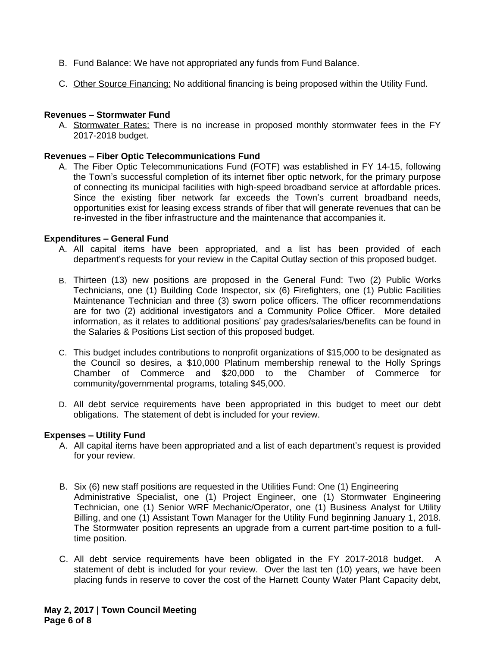- B. Fund Balance: We have not appropriated any funds from Fund Balance.
- C. Other Source Financing: No additional financing is being proposed within the Utility Fund.

### **Revenues – Stormwater Fund**

A. Stormwater Rates: There is no increase in proposed monthly stormwater fees in the FY 2017-2018 budget.

#### **Revenues – Fiber Optic Telecommunications Fund**

A. The Fiber Optic Telecommunications Fund (FOTF) was established in FY 14-15, following the Town's successful completion of its internet fiber optic network, for the primary purpose of connecting its municipal facilities with high-speed broadband service at affordable prices. Since the existing fiber network far exceeds the Town's current broadband needs, opportunities exist for leasing excess strands of fiber that will generate revenues that can be re-invested in the fiber infrastructure and the maintenance that accompanies it.

#### **Expenditures – General Fund**

- A. All capital items have been appropriated, and a list has been provided of each department's requests for your review in the Capital Outlay section of this proposed budget.
- B. Thirteen (13) new positions are proposed in the General Fund: Two (2) Public Works Technicians, one (1) Building Code Inspector, six (6) Firefighters, one (1) Public Facilities Maintenance Technician and three (3) sworn police officers. The officer recommendations are for two (2) additional investigators and a Community Police Officer. More detailed information, as it relates to additional positions' pay grades/salaries/benefits can be found in the Salaries & Positions List section of this proposed budget.
- C. This budget includes contributions to nonprofit organizations of \$15,000 to be designated as the Council so desires, a \$10,000 Platinum membership renewal to the Holly Springs Chamber of Commerce and \$20,000 to the Chamber of Commerce for community/governmental programs, totaling \$45,000.
- D. All debt service requirements have been appropriated in this budget to meet our debt obligations. The statement of debt is included for your review.

## **Expenses – Utility Fund**

- A. All capital items have been appropriated and a list of each department's request is provided for your review.
- B. Six (6) new staff positions are requested in the Utilities Fund: One (1) Engineering Administrative Specialist, one (1) Project Engineer, one (1) Stormwater Engineering Technician, one (1) Senior WRF Mechanic/Operator, one (1) Business Analyst for Utility Billing, and one (1) Assistant Town Manager for the Utility Fund beginning January 1, 2018. The Stormwater position represents an upgrade from a current part-time position to a fulltime position.
- C. All debt service requirements have been obligated in the FY 2017-2018 budget. A statement of debt is included for your review. Over the last ten (10) years, we have been placing funds in reserve to cover the cost of the Harnett County Water Plant Capacity debt,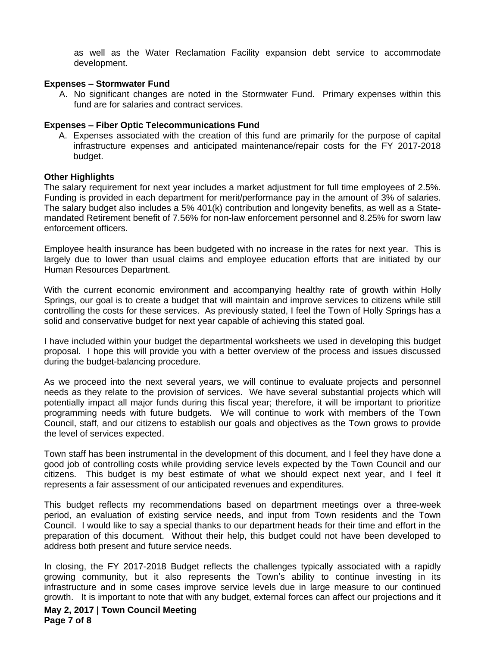as well as the Water Reclamation Facility expansion debt service to accommodate development.

#### **Expenses – Stormwater Fund**

A. No significant changes are noted in the Stormwater Fund. Primary expenses within this fund are for salaries and contract services.

### **Expenses – Fiber Optic Telecommunications Fund**

A. Expenses associated with the creation of this fund are primarily for the purpose of capital infrastructure expenses and anticipated maintenance/repair costs for the FY 2017-2018 budget.

#### **Other Highlights**

The salary requirement for next year includes a market adjustment for full time employees of 2.5%. Funding is provided in each department for merit/performance pay in the amount of 3% of salaries. The salary budget also includes a 5% 401(k) contribution and longevity benefits, as well as a Statemandated Retirement benefit of 7.56% for non-law enforcement personnel and 8.25% for sworn law enforcement officers.

Employee health insurance has been budgeted with no increase in the rates for next year. This is largely due to lower than usual claims and employee education efforts that are initiated by our Human Resources Department.

With the current economic environment and accompanying healthy rate of growth within Holly Springs, our goal is to create a budget that will maintain and improve services to citizens while still controlling the costs for these services. As previously stated, I feel the Town of Holly Springs has a solid and conservative budget for next year capable of achieving this stated goal.

I have included within your budget the departmental worksheets we used in developing this budget proposal. I hope this will provide you with a better overview of the process and issues discussed during the budget-balancing procedure.

As we proceed into the next several years, we will continue to evaluate projects and personnel needs as they relate to the provision of services. We have several substantial projects which will potentially impact all major funds during this fiscal year; therefore, it will be important to prioritize programming needs with future budgets. We will continue to work with members of the Town Council, staff, and our citizens to establish our goals and objectives as the Town grows to provide the level of services expected.

Town staff has been instrumental in the development of this document, and I feel they have done a good job of controlling costs while providing service levels expected by the Town Council and our citizens. This budget is my best estimate of what we should expect next year, and I feel it represents a fair assessment of our anticipated revenues and expenditures.

This budget reflects my recommendations based on department meetings over a three-week period, an evaluation of existing service needs, and input from Town residents and the Town Council. I would like to say a special thanks to our department heads for their time and effort in the preparation of this document. Without their help, this budget could not have been developed to address both present and future service needs.

In closing, the FY 2017-2018 Budget reflects the challenges typically associated with a rapidly growing community, but it also represents the Town's ability to continue investing in its infrastructure and in some cases improve service levels due in large measure to our continued growth. It is important to note that with any budget, external forces can affect our projections and it